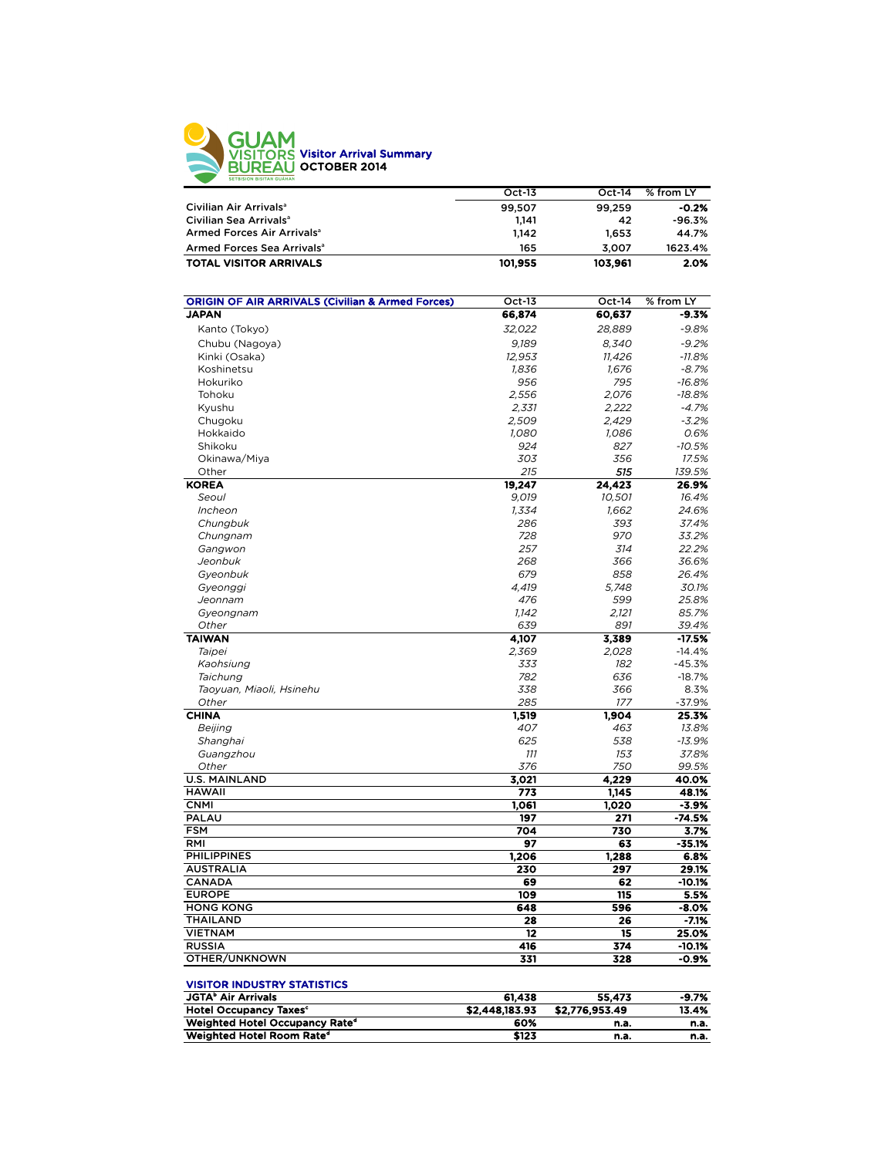

|                                                             | Oct-13        | $Oct-14$      | % from LY |
|-------------------------------------------------------------|---------------|---------------|-----------|
| Civilian Air Arrivals <sup>a</sup>                          | 99.507        | 99.259        | $-0.2%$   |
| Civilian Sea Arrivals <sup>a</sup>                          | 1.141         | 42            | $-96.3%$  |
| Armed Forces Air Arrivals <sup>a</sup>                      | 1.142         | 1.653         | 44.7%     |
| Armed Forces Sea Arrivals <sup>a</sup>                      | 165           | 3.007         | 1623.4%   |
| <b>TOTAL VISITOR ARRIVALS</b>                               | 101.955       | 103.961       | 2.0%      |
| <b>ORIGIN OF AIR ARRIVALS (Civilian &amp; Armed Forces)</b> | $Oct-13$      | $Oct-14$      | % from LY |
| <b>IADAN</b>                                                | <b>CC 074</b> | <b>CO CZ7</b> | $-0.79$   |

| ,,,,,,,                         | ັັ        |        | ,,,,,,,           |
|---------------------------------|-----------|--------|-------------------|
| <b>JAPAN</b>                    | 66,874    | 60,637 | $-9.3%$           |
| Kanto (Tokyo)                   | 32,022    | 28,889 | $-9.8%$           |
| Chubu (Nagoya)                  | 9,189     | 8,340  | $-9.2%$           |
| Kinki (Osaka)                   | 12,953    | 11,426 | $-11.8%$          |
| Koshinetsu                      | 1,836     | 1,676  | $-8.7%$           |
| Hokuriko                        | 956       | 795    | $-16.8%$          |
| Tohoku                          | 2,556     | 2,076  | $-18.8%$          |
| Kyushu                          | 2,331     | 2,222  | $-4.7%$           |
| Chugoku                         | 2,509     | 2,429  | $-3.2%$           |
| Hokkaido                        | 1,080     | 1,086  | 0.6%              |
| Shikoku                         | 924       | 827    | $-10.5%$          |
| Okinawa/Miya                    | 303       | 356    | 17.5%             |
| Other                           | 215       | 515    | 139.5%            |
| <b>KOREA</b>                    | 19,247    | 24,423 | 26.9%             |
| Seoul                           | 9,019     | 10,501 | 16.4%             |
| Incheon                         | 1,334     | 1,662  | 24.6%             |
| Chungbuk                        | 286       | 393    | 37.4%             |
| Chungnam                        | 728       | 970    | 33.2%             |
| Gangwon                         | 257       | 314    | 22.2%             |
| Jeonbuk                         | 268       | 366    | 36.6%             |
| Gyeonbuk                        | 679       | 858    | 26.4%             |
| Gyeonggi                        | 4,419     | 5,748  | 30.1%             |
| Jeonnam                         | 476       | 599    | 25.8%             |
| Gyeongnam                       | 1,142     | 2,121  | 85.7%             |
| Other                           | 639       | 891    | 39.4%             |
| <b>TAIWAN</b>                   | 4,107     | 3,389  | $-17.5%$          |
| Taipei                          | 2,369     | 2,028  | $-14.4%$          |
| Kaohsiung                       | 333       | 182    | $-45.3%$          |
| Taichung                        | 782       | 636    | $-18.7%$          |
| Taoyuan, Miaoli, Hsinehu        | 338       | 366    | 8.3%              |
| Other                           | 285       | 177    | $-37.9%$          |
| <b>CHINA</b>                    | 1,519     | 1,904  | 25.3%             |
| Beijing                         | 407       | 463    | 13.8%             |
| Shanghai                        | 625       | 538    | $-13.9%$          |
| Guangzhou                       | 111       | 153    | 37.8%             |
| Other                           | 376       | 750    | 99.5%             |
| <b>U.S. MAINLAND</b>            | 3,021     | 4,229  | 40.0%             |
| <b>HAWAII</b>                   | 773       | 1,145  | 48.1%             |
| <b>CNMI</b>                     | 1,061     | 1,020  | $-3.9%$           |
| <b>PALAU</b>                    | 197       | 271    | $-74.5%$          |
| <b>FSM</b>                      | 704       | 730    | 3.7%              |
| RMI                             | 97        | 63     | -35.1%            |
| <b>PHILIPPINES</b>              | 1,206     | 1,288  | 6.8%              |
| <b>AUSTRALIA</b>                | 230       | 297    | 29.1%             |
| <b>CANADA</b>                   | 69        | 62     | $-10.1%$          |
| <b>EUROPE</b>                   | 109       | 115    | 5.5%              |
| <b>HONG KONG</b>                | 648       | 596    | -8.0%             |
|                                 | 28        | 26     | $-7.1%$           |
| <b>THAILAND</b>                 |           |        |                   |
|                                 |           | 15     |                   |
| <b>VIETNAM</b><br><b>RUSSIA</b> | 12<br>416 | 374    | 25.0%<br>$-10.1%$ |

| <b>JGTA</b> <sup>b</sup> Air Arrivals      | 61.438         | 55.473         | $-9.7%$ |
|--------------------------------------------|----------------|----------------|---------|
| <b>Hotel Occupancy Taxes<sup>c</sup></b>   | \$2,448,183.93 | \$2,776,953.49 | 13.4%   |
| Weighted Hotel Occupancy Rate <sup>d</sup> | 60%            | n.a.           | n.a.    |
| Weighted Hotel Room Rate <sup>d</sup>      | \$123          | n.a.           | n.a.    |